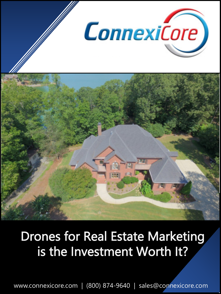

# Drones for Real Estate Marketing is the Investment Worth It?

www.connexicore.com | (800) 874-9640 | sales@connexicore.com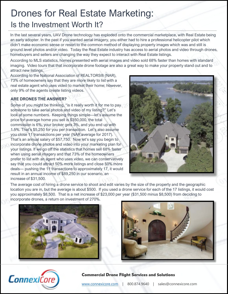# Drones for Real Estate Marketing: Is the Investment Worth It?

In the last several years, UAV Drone technology has exploded onto the commercial marketplace, with Real Estate being an early adopter. In the past if you wanted aerial imagery, you either had to hire a professional helicopter pilot which didn't make economic sense or resort to the common method of displaying property images which was and still is ground level photos and/or video. Today the Real Estate industry has access to aerial photos and video through drones, homebuyers and sellers are changing the way they expect to interact with Real Estate listings.

According to MLS statistics, homes presented with aerial images and video sold 68% faster than homes with standard imaging. Video tours that that incorporate drone footage are also a great way to make your property stand out and to attract new listings.

According to the National Association of REALTORS® (NAR), 73% of homeowners say that they are more likely to list with a real estate agent who uses video to market their home; however, only 9% of the agents create listing videos.

### **ARE DRONES THE ANSWER?**

9

Some of you might be thinking, "is it really worth it for me to pay someone to take aerial photos and video of my listing?" Let's look at some numbers. Keeping things simple—let's assume the price for average home you sell is \$350,000, the total commission is 6%, your broker gets 3%, and you end up with 1.5%. That's \$5,250 for you per transaction. Let's also assume you close 11 transactions per year (NAR average for 2017). That's an annual salary of \$57,750. Now let's say you begin to incorporate drone photos and video into your marketing plan for your listings. If we go off the statistics that homes sell 68% faster when using aerial imagery and that 73% of the homeowners prefer to list with an agent who uses video, we can conservatively say that you could attract 50% more listings and close 50% more deals--- pushing the 11 transactions to approximately 17, it would result in an annual income of \$89,250 in our scenario, an increase of \$31,500.



The average cost of hiring a drone service to shoot and edit varies by the size of the property and the geographic location you are in, but the average is about \$500. If you used a drone service for each of the 17 listings, it would cost you approximately \$8,500. That is a net increase of \$23,000 per year (\$31,500 minus \$8,500) from deciding to incorporate drones, a return on investment of 270%.







#### Commercial Drone Flight Services and Solutions